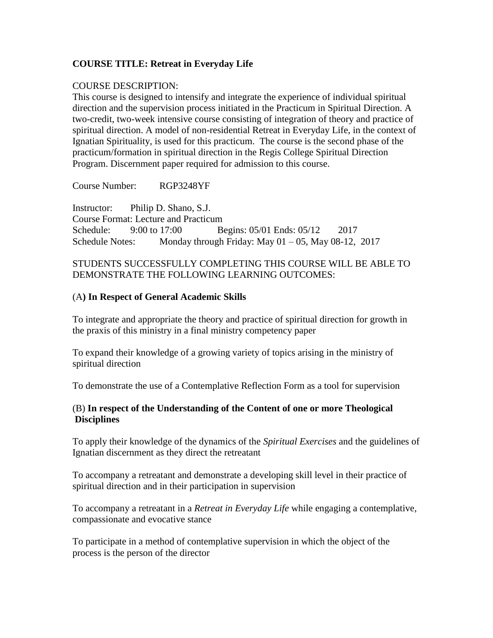### **COURSE TITLE: Retreat in Everyday Life**

#### COURSE DESCRIPTION:

This course is designed to intensify and integrate the experience of individual spiritual direction and the supervision process initiated in the Practicum in Spiritual Direction. A two-credit, two-week intensive course consisting of integration of theory and practice of spiritual direction. A model of non-residential Retreat in Everyday Life, in the context of Ignatian Spirituality, is used for this practicum. The course is the second phase of the practicum/formation in spiritual direction in the Regis College Spiritual Direction Program. Discernment paper required for admission to this course.

Course Number: RGP3248YF

Instructor: Philip D. Shano, S.J. Course Format: Lecture and Practicum Schedule: 9:00 to 17:00 Begins: 05/01 Ends: 05/12 2017 Schedule Notes: Monday through Friday: May  $01 - 05$ , May  $08 - 12$ , 2017

#### STUDENTS SUCCESSFULLY COMPLETING THIS COURSE WILL BE ABLE TO DEMONSTRATE THE FOLLOWING LEARNING OUTCOMES:

#### (A**) In Respect of General Academic Skills**

To integrate and appropriate the theory and practice of spiritual direction for growth in the praxis of this ministry in a final ministry competency paper

To expand their knowledge of a growing variety of topics arising in the ministry of spiritual direction

To demonstrate the use of a Contemplative Reflection Form as a tool for supervision

### (B) **In respect of the Understanding of the Content of one or more Theological Disciplines**

To apply their knowledge of the dynamics of the *Spiritual Exercises* and the guidelines of Ignatian discernment as they direct the retreatant

To accompany a retreatant and demonstrate a developing skill level in their practice of spiritual direction and in their participation in supervision

To accompany a retreatant in a *Retreat in Everyday Life* while engaging a contemplative, compassionate and evocative stance

To participate in a method of contemplative supervision in which the object of the process is the person of the director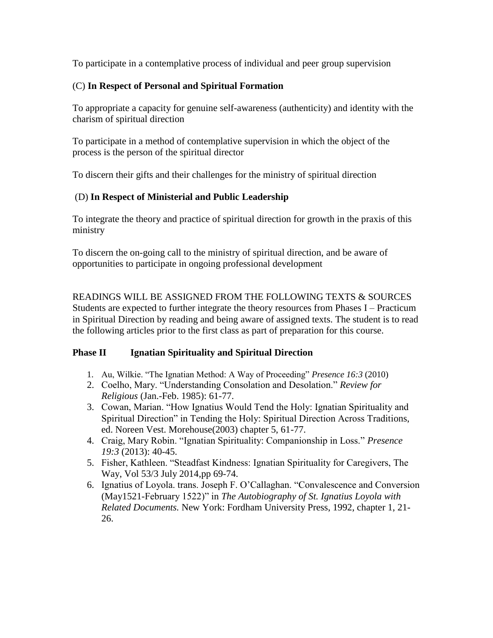To participate in a contemplative process of individual and peer group supervision

# (C) **In Respect of Personal and Spiritual Formation**

To appropriate a capacity for genuine self-awareness (authenticity) and identity with the charism of spiritual direction

To participate in a method of contemplative supervision in which the object of the process is the person of the spiritual director

To discern their gifts and their challenges for the ministry of spiritual direction

# (D) **In Respect of Ministerial and Public Leadership**

To integrate the theory and practice of spiritual direction for growth in the praxis of this ministry

To discern the on-going call to the ministry of spiritual direction, and be aware of opportunities to participate in ongoing professional development

READINGS WILL BE ASSIGNED FROM THE FOLLOWING TEXTS & SOURCES Students are expected to further integrate the theory resources from Phases I – Practicum in Spiritual Direction by reading and being aware of assigned texts. The student is to read the following articles prior to the first class as part of preparation for this course.

# **Phase II Ignatian Spirituality and Spiritual Direction**

- 1. Au, Wilkie. "The Ignatian Method: A Way of Proceeding" *Presence 16:3* (2010)
- 2. Coelho, Mary. "Understanding Consolation and Desolation." *Review for Religious* (Jan.-Feb. 1985): 61-77.
- 3. Cowan, Marian. "How Ignatius Would Tend the Holy: Ignatian Spirituality and Spiritual Direction" in Tending the Holy: Spiritual Direction Across Traditions, ed. Noreen Vest. Morehouse(2003) chapter 5, 61-77.
- 4. Craig, Mary Robin. "Ignatian Spirituality: Companionship in Loss." *Presence 19:3* (2013): 40-45.
- 5. Fisher, Kathleen. "Steadfast Kindness: Ignatian Spirituality for Caregivers, The Way, Vol 53/3 July 2014,pp 69-74.
- 6. Ignatius of Loyola. trans. Joseph F. O'Callaghan. "Convalescence and Conversion (May1521-February 1522)" in *The Autobiography of St. Ignatius Loyola with Related Documents.* New York: Fordham University Press, 1992, chapter 1, 21- 26.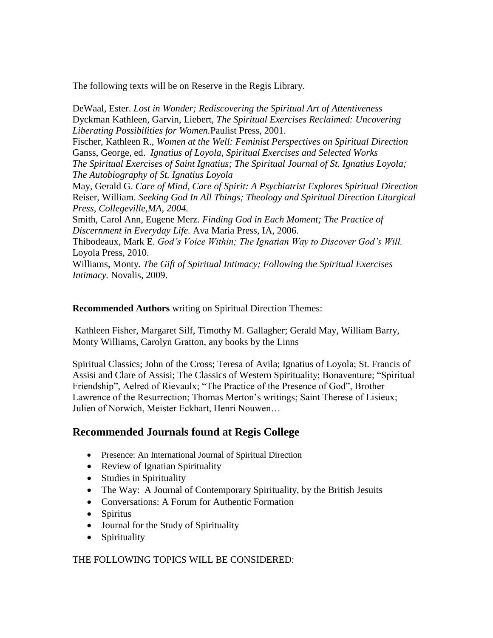The following texts will be on Reserve in the Regis Library.

DeWaal, Ester. *Lost in Wonder; Rediscovering the Spiritual Art of Attentiveness* Dyckman Kathleen, Garvin, Liebert, *The Spiritual Exercises Reclaimed: Uncovering Liberating Possibilities for Women.*Paulist Press, 2001.

Fischer, Kathleen R., *Women at the Well: Feminist Perspectives on Spiritual Direction* Ganss, George, ed. *Ignatius of Loyola, Spiritual Exercises and Selected Works The Spiritual Exercises of Saint Ignatius; The Spiritual Journal of St. Ignatius Loyola; The Autobiography of St. Ignatius Loyola*

May, Gerald G. *Care of Mind, Care of Spirit: A Psychiatrist Explores Spiritual Direction*  Reiser, William. *Seeking God In All Things; Theology and Spiritual Direction Liturgical Press, Collegeville,MA, 2004.*

Smith, Carol Ann, Eugene Merz*. Finding God in Each Moment; The Practice of Discernment in Everyday Life.* Ava Maria Press, IA, 2006.

Thibodeaux, Mark E. *God's Voice Within; The Ignatian Way to Discover God's Will.*  Loyola Press, 2010.

Williams, Monty. *The Gift of Spiritual Intimacy; Following the Spiritual Exercises Intimacy.* Novalis, 2009.

**Recommended Authors** writing on Spiritual Direction Themes:

Kathleen Fisher, Margaret Silf, Timothy M. Gallagher; Gerald May, William Barry, Monty Williams, Carolyn Gratton, any books by the Linns

Spiritual Classics; John of the Cross; Teresa of Avila; Ignatius of Loyola; St. Francis of Assisi and Clare of Assisi; The Classics of Western Spirituality; Bonaventure; "Spiritual Friendship", Aelred of Rievaulx; "The Practice of the Presence of God", Brother Lawrence of the Resurrection; Thomas Merton's writings; Saint Therese of Lisieux; Julien of Norwich, Meister Eckhart, Henri Nouwen…

# **Recommended Journals found at Regis College**

- Presence: An International Journal of Spiritual Direction
- Review of Ignatian Spirituality
- Studies in Spirituality
- The Way: A Journal of Contemporary Spirituality, by the British Jesuits
- Conversations: A Forum for Authentic Formation
- Spiritus
- Journal for the Study of Spirituality
- Spirituality

THE FOLLOWING TOPICS WILL BE CONSIDERED: